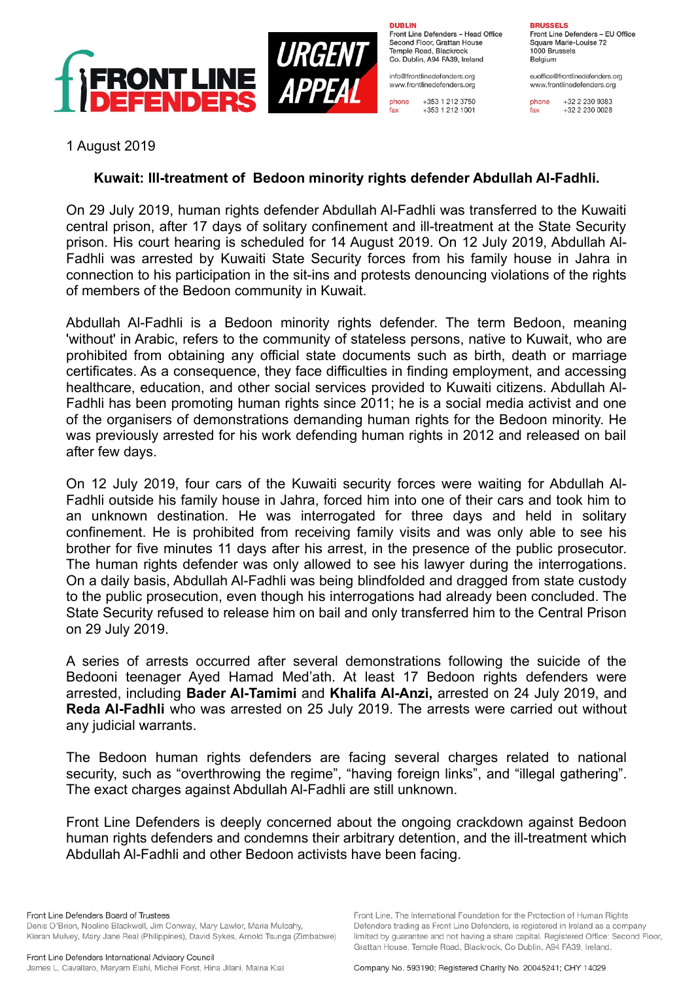

**DURLIN** Front Line Defenders - Head Office Second Floor, Grattan House Temple Boad, Blackrock Co. Dublin, A94 FA39, Ireland

info@frontlinedefenders.org www.frontlinedefenders.org

+353 1 212 3750 phone +353 1 212 1001

**BDHCCELC** Front Line Defenders - EU Office Square Marie-Louise 72 1000 Brussels Belgium

euoffice@frontlinedefenders.org www.frontlinedefenders.org

phone +32 2 230 9383  $fax$ +32 2 230 0028

1 August 2019

## **Kuwait: Ill-treatment of Bedoon minority rights defender Abdullah Al-Fadhli.**

On 29 July 2019, human rights defender Abdullah Al-Fadhli was transferred to the Kuwaiti central prison, after 17 days of solitary confinement and ill-treatment at the State Security prison. His court hearing is scheduled for 14 August 2019. On 12 July 2019, Abdullah Al-Fadhli was arrested by Kuwaiti State Security forces from his family house in Jahra in connection to his participation in the sit-ins and protests denouncing violations of the rights of members of the Bedoon community in Kuwait.

Abdullah Al-Fadhli is a Bedoon minority rights defender. The term Bedoon, meaning 'without' in Arabic, refers to the community of stateless persons, native to Kuwait, who are prohibited from obtaining any official state documents such as birth, death or marriage certificates. As a consequence, they face difficulties in finding employment, and accessing healthcare, education, and other social services provided to Kuwaiti citizens. Abdullah Al-Fadhli has been promoting human rights since 2011; he is a social media activist and one of the organisers of demonstrations demanding human rights for the Bedoon minority. He was previously arrested for his work defending human rights in 2012 and released on bail after few days.

On 12 July 2019, four cars of the Kuwaiti security forces were waiting for Abdullah Al-Fadhli outside his family house in Jahra, forced him into one of their cars and took him to an unknown destination. He was interrogated for three days and held in solitary confinement. He is prohibited from receiving family visits and was only able to see his brother for five minutes 11 days after his arrest, in the presence of the public prosecutor. The human rights defender was only allowed to see his lawyer during the interrogations. On a daily basis, Abdullah Al-Fadhli was being blindfolded and dragged from state custody to the public prosecution, even though his interrogations had already been concluded. The State Security refused to release him on bail and only transferred him to the Central Prison on 29 July 2019.

A series of arrests occurred after several demonstrations following the suicide of the Bedooni teenager Ayed Hamad Med'ath. At least 17 Bedoon rights defenders were arrested, including **Bader Al-Tamimi** and **Khalifa Al-Anzi,** arrested on 24 July 2019, and **Reda Al-Fadhli** who was arrested on 25 July 2019. The arrests were carried out without any judicial warrants.

The Bedoon human rights defenders are facing several charges related to national security, such as "overthrowing the regime", "having foreign links", and "illegal gathering". The exact charges against Abdullah Al-Fadhli are still unknown.

Front Line Defenders is deeply concerned about the ongoing crackdown against Bedoon human rights defenders and condemns their arbitrary detention, and the ill-treatment which Abdullah Al-Fadhli and other Bedoon activists have been facing.

Front Line Defenders Board of Trustees Denis O'Brien, Noeline Blackwell, Jim Conway, Mary Lawlor, Maria Mulcahy, Kieran Mulvey, Mary Jane Real (Philippines), David Sykes, Arnold Tsunga (Zimbabwe)